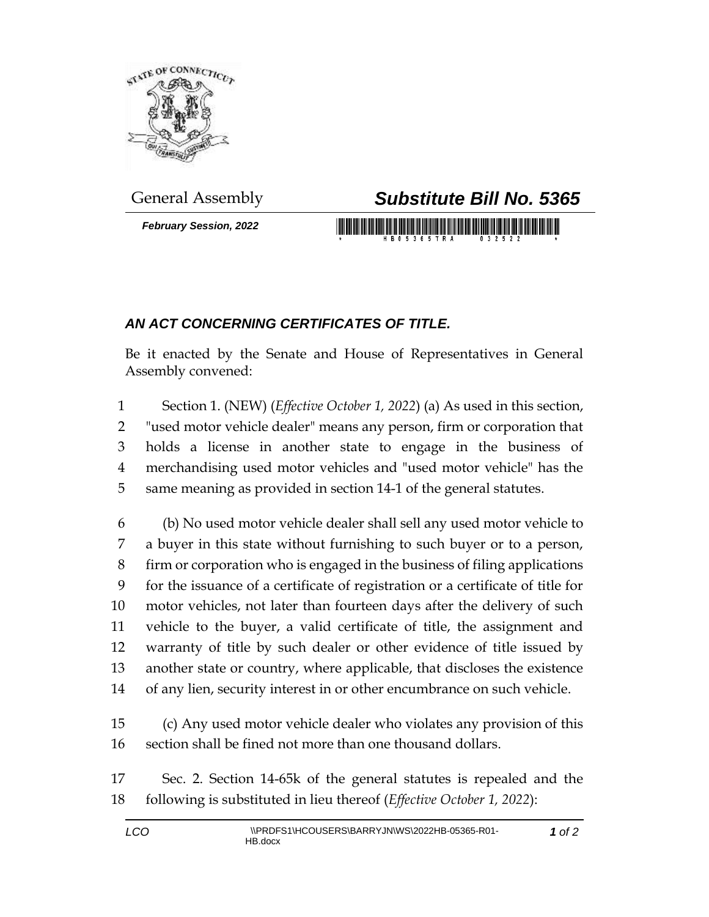

*February Session, 2022*

## General Assembly *Substitute Bill No. 5365*

## *AN ACT CONCERNING CERTIFICATES OF TITLE.*

Be it enacted by the Senate and House of Representatives in General Assembly convened:

 Section 1. (NEW) (*Effective October 1, 2022*) (a) As used in this section, "used motor vehicle dealer" means any person, firm or corporation that holds a license in another state to engage in the business of merchandising used motor vehicles and "used motor vehicle" has the same meaning as provided in section 14-1 of the general statutes.

 (b) No used motor vehicle dealer shall sell any used motor vehicle to a buyer in this state without furnishing to such buyer or to a person, firm or corporation who is engaged in the business of filing applications for the issuance of a certificate of registration or a certificate of title for motor vehicles, not later than fourteen days after the delivery of such vehicle to the buyer, a valid certificate of title, the assignment and warranty of title by such dealer or other evidence of title issued by another state or country, where applicable, that discloses the existence of any lien, security interest in or other encumbrance on such vehicle.

 (c) Any used motor vehicle dealer who violates any provision of this section shall be fined not more than one thousand dollars.

 Sec. 2. Section 14-65k of the general statutes is repealed and the following is substituted in lieu thereof (*Effective October 1, 2022*):